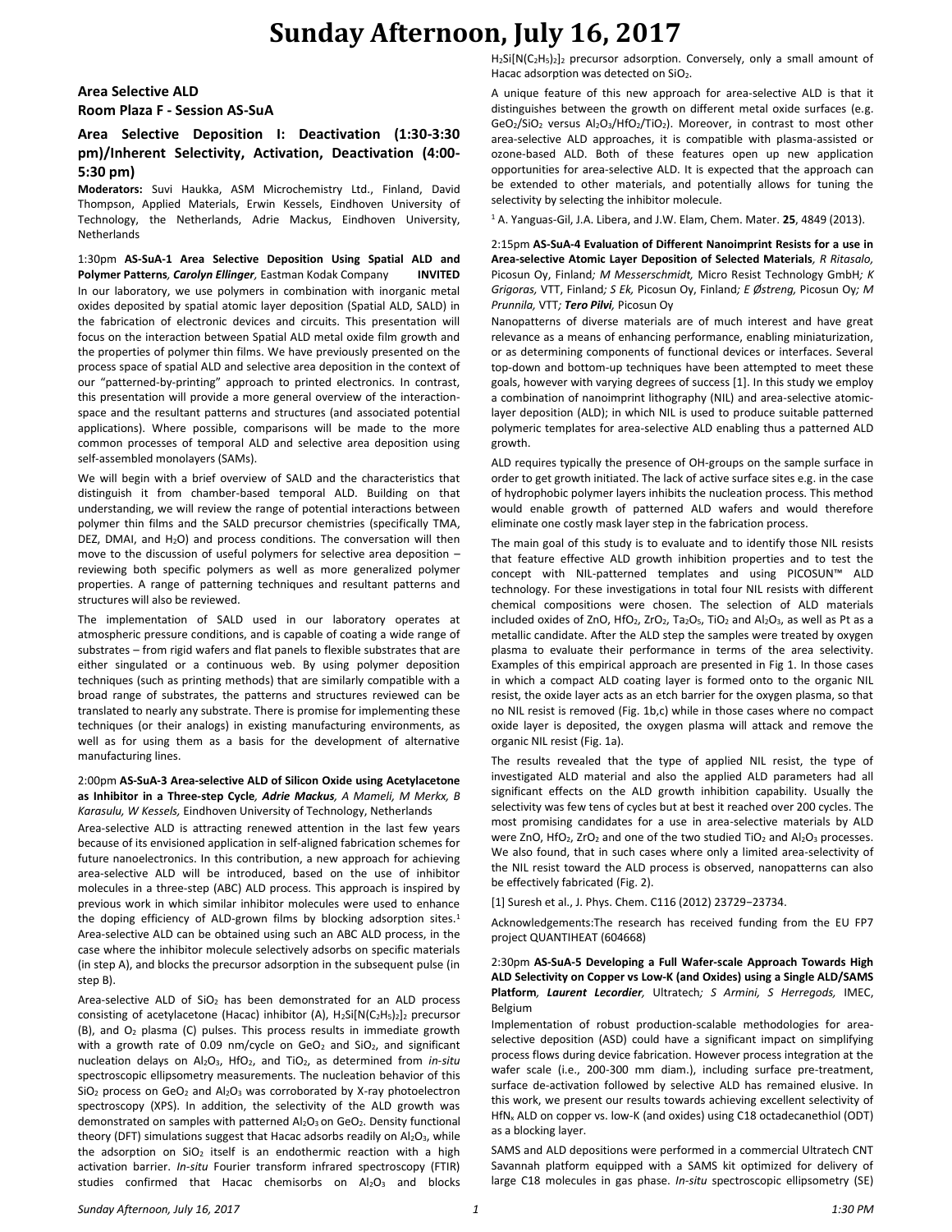### **Area Selective ALD Room Plaza F - Session AS-SuA**

## **Area Selective Deposition I: Deactivation (1:30-3:30 pm)/Inherent Selectivity, Activation, Deactivation (4:00- 5:30 pm)**

**Moderators:** Suvi Haukka, ASM Microchemistry Ltd., Finland, David Thompson, Applied Materials, Erwin Kessels, Eindhoven University of Technology, the Netherlands, Adrie Mackus, Eindhoven University, Netherlands

1:30pm **AS-SuA-1 Area Selective Deposition Using Spatial ALD and Polymer Patterns***, Carolyn Ellinger,* Eastman Kodak Company **INVITED** In our laboratory, we use polymers in combination with inorganic metal oxides deposited by spatial atomic layer deposition (Spatial ALD, SALD) in the fabrication of electronic devices and circuits. This presentation will focus on the interaction between Spatial ALD metal oxide film growth and the properties of polymer thin films. We have previously presented on the process space of spatial ALD and selective area deposition in the context of our "patterned-by-printing" approach to printed electronics. In contrast, this presentation will provide a more general overview of the interactionspace and the resultant patterns and structures (and associated potential applications). Where possible, comparisons will be made to the more common processes of temporal ALD and selective area deposition using self-assembled monolayers (SAMs).

We will begin with a brief overview of SALD and the characteristics that distinguish it from chamber-based temporal ALD. Building on that understanding, we will review the range of potential interactions between polymer thin films and the SALD precursor chemistries (specifically TMA, DEZ, DMAI, and H<sub>2</sub>O) and process conditions. The conversation will then move to the discussion of useful polymers for selective area deposition – reviewing both specific polymers as well as more generalized polymer properties. A range of patterning techniques and resultant patterns and structures will also be reviewed.

The implementation of SALD used in our laboratory operates at atmospheric pressure conditions, and is capable of coating a wide range of substrates – from rigid wafers and flat panels to flexible substrates that are either singulated or a continuous web. By using polymer deposition techniques (such as printing methods) that are similarly compatible with a broad range of substrates, the patterns and structures reviewed can be translated to nearly any substrate. There is promise for implementing these techniques (or their analogs) in existing manufacturing environments, as well as for using them as a basis for the development of alternative manufacturing lines.

#### 2:00pm **AS-SuA-3 Area-selective ALD of Silicon Oxide using Acetylacetone as Inhibitor in a Three-step Cycle***, Adrie Mackus, A Mameli, M Merkx, B Karasulu, W Kessels,* Eindhoven University of Technology, Netherlands

Area-selective ALD is attracting renewed attention in the last few years because of its envisioned application in self-aligned fabrication schemes for future nanoelectronics. In this contribution, a new approach for achieving area-selective ALD will be introduced, based on the use of inhibitor molecules in a three-step (ABC) ALD process. This approach is inspired by previous work in which similar inhibitor molecules were used to enhance the doping efficiency of ALD-grown films by blocking adsorption sites. $1$ Area-selective ALD can be obtained using such an ABC ALD process, in the case where the inhibitor molecule selectively adsorbs on specific materials (in step A), and blocks the precursor adsorption in the subsequent pulse (in step B).

Area-selective ALD of  $SiO<sub>2</sub>$  has been demonstrated for an ALD process consisting of acetylacetone (Hacac) inhibitor (A),  $H_2Si[N(C_2H_5)_2]_2$  precursor (B), and O<sup>2</sup> plasma (C) pulses. This process results in immediate growth with a growth rate of 0.09 nm/cycle on  $GeO<sub>2</sub>$  and  $SiO<sub>2</sub>$ , and significant nucleation delays on Al<sub>2</sub>O<sub>3</sub>, HfO<sub>2</sub>, and TiO<sub>2</sub>, as determined from *in-situ* spectroscopic ellipsometry measurements. The nucleation behavior of this SiO<sub>2</sub> process on GeO<sub>2</sub> and Al<sub>2</sub>O<sub>3</sub> was corroborated by X-ray photoelectron spectroscopy (XPS). In addition, the selectivity of the ALD growth was demonstrated on samples with patterned Al<sub>2</sub>O<sub>3</sub> on GeO<sub>2</sub>. Density functional theory (DFT) simulations suggest that Hacac adsorbs readily on Al2O3, while the adsorption on  $SiO<sub>2</sub>$  itself is an endothermic reaction with a high activation barrier. *In-situ* Fourier transform infrared spectroscopy (FTIR) studies confirmed that Hacac chemisorbs on Al2O3 and blocks H<sub>2</sub>Si[N(C<sub>2</sub>H<sub>5</sub>)<sub>2</sub>]<sub>2</sub> precursor adsorption. Conversely, only a small amount of Hacac adsorption was detected on SiO<sub>2</sub>.

A unique feature of this new approach for area-selective ALD is that it distinguishes between the growth on different metal oxide surfaces (e.g. GeO<sub>2</sub>/SiO<sub>2</sub> versus Al<sub>2</sub>O<sub>3</sub>/HfO<sub>2</sub>/TiO<sub>2</sub>). Moreover, in contrast to most other area-selective ALD approaches, it is compatible with plasma-assisted or ozone-based ALD. Both of these features open up new application opportunities for area-selective ALD. It is expected that the approach can be extended to other materials, and potentially allows for tuning the selectivity by selecting the inhibitor molecule.

<sup>1</sup> A. Yanguas-Gil, J.A. Libera, and J.W. Elam, Chem. Mater. **25**, 4849 (2013).

2:15pm **AS-SuA-4 Evaluation of Different Nanoimprint Resists for a use in Area-selective Atomic Layer Deposition of Selected Materials***, R Ritasalo,*  Picosun Oy, Finland*; M Messerschmidt,* Micro Resist Technology GmbH*; K Grigoras,* VTT, Finland*; S Ek,* Picosun Oy, Finland*; E Østreng,* Picosun Oy*; M Prunnila,* VTT*; Tero Pilvi,* Picosun Oy

Nanopatterns of diverse materials are of much interest and have great relevance as a means of enhancing performance, enabling miniaturization, or as determining components of functional devices or interfaces. Several top-down and bottom-up techniques have been attempted to meet these goals, however with varying degrees of success [1]. In this study we employ a combination of nanoimprint lithography (NIL) and area-selective atomiclayer deposition (ALD); in which NIL is used to produce suitable patterned polymeric templates for area-selective ALD enabling thus a patterned ALD growth.

ALD requires typically the presence of OH-groups on the sample surface in order to get growth initiated. The lack of active surface sites e.g. in the case of hydrophobic polymer layers inhibits the nucleation process. This method would enable growth of patterned ALD wafers and would therefore eliminate one costly mask layer step in the fabrication process.

The main goal of this study is to evaluate and to identify those NIL resists that feature effective ALD growth inhibition properties and to test the concept with NIL-patterned templates and using PICOSUN™ ALD technology. For these investigations in total four NIL resists with different chemical compositions were chosen. The selection of ALD materials included oxides of ZnO, HfO<sub>2</sub>, ZrO<sub>2</sub>, Ta<sub>2</sub>O<sub>5</sub>, TiO<sub>2</sub> and Al<sub>2</sub>O<sub>3</sub>, as well as Pt as a metallic candidate. After the ALD step the samples were treated by oxygen plasma to evaluate their performance in terms of the area selectivity. Examples of this empirical approach are presented in Fig 1. In those cases in which a compact ALD coating layer is formed onto to the organic NIL resist, the oxide layer acts as an etch barrier for the oxygen plasma, so that no NIL resist is removed (Fig. 1b,c) while in those cases where no compact oxide layer is deposited, the oxygen plasma will attack and remove the organic NIL resist (Fig. 1a).

The results revealed that the type of applied NIL resist, the type of investigated ALD material and also the applied ALD parameters had all significant effects on the ALD growth inhibition capability. Usually the selectivity was few tens of cycles but at best it reached over 200 cycles. The most promising candidates for a use in area-selective materials by ALD were ZnO, HfO<sub>2</sub>, ZrO<sub>2</sub> and one of the two studied TiO<sub>2</sub> and Al<sub>2</sub>O<sub>3</sub> processes. We also found, that in such cases where only a limited area-selectivity of the NIL resist toward the ALD process is observed, nanopatterns can also be effectively fabricated (Fig. 2).

[1] Suresh et al., J. Phys. Chem. C116 (2012) 23729−23734.

Acknowledgements:The research has received funding from the EU FP7 project QUANTIHEAT (604668)

### 2:30pm **AS-SuA-5 Developing a Full Wafer-scale Approach Towards High ALD Selectivity on Copper vs Low-K (and Oxides) using a Single ALD/SAMS Platform***, Laurent Lecordier,* Ultratech*; S Armini, S Herregods,* IMEC, Belgium

Implementation of robust production-scalable methodologies for areaselective deposition (ASD) could have a significant impact on simplifying process flows during device fabrication. However process integration at the wafer scale (i.e., 200-300 mm diam.), including surface pre-treatment, surface de-activation followed by selective ALD has remained elusive. In this work, we present our results towards achieving excellent selectivity of HfN<sup>x</sup> ALD on copper vs. low-K (and oxides) using C18 octadecanethiol (ODT) as a blocking layer.

SAMS and ALD depositions were performed in a commercial Ultratech CNT Savannah platform equipped with a SAMS kit optimized for delivery of large C18 molecules in gas phase. *In-situ* spectroscopic ellipsometry (SE)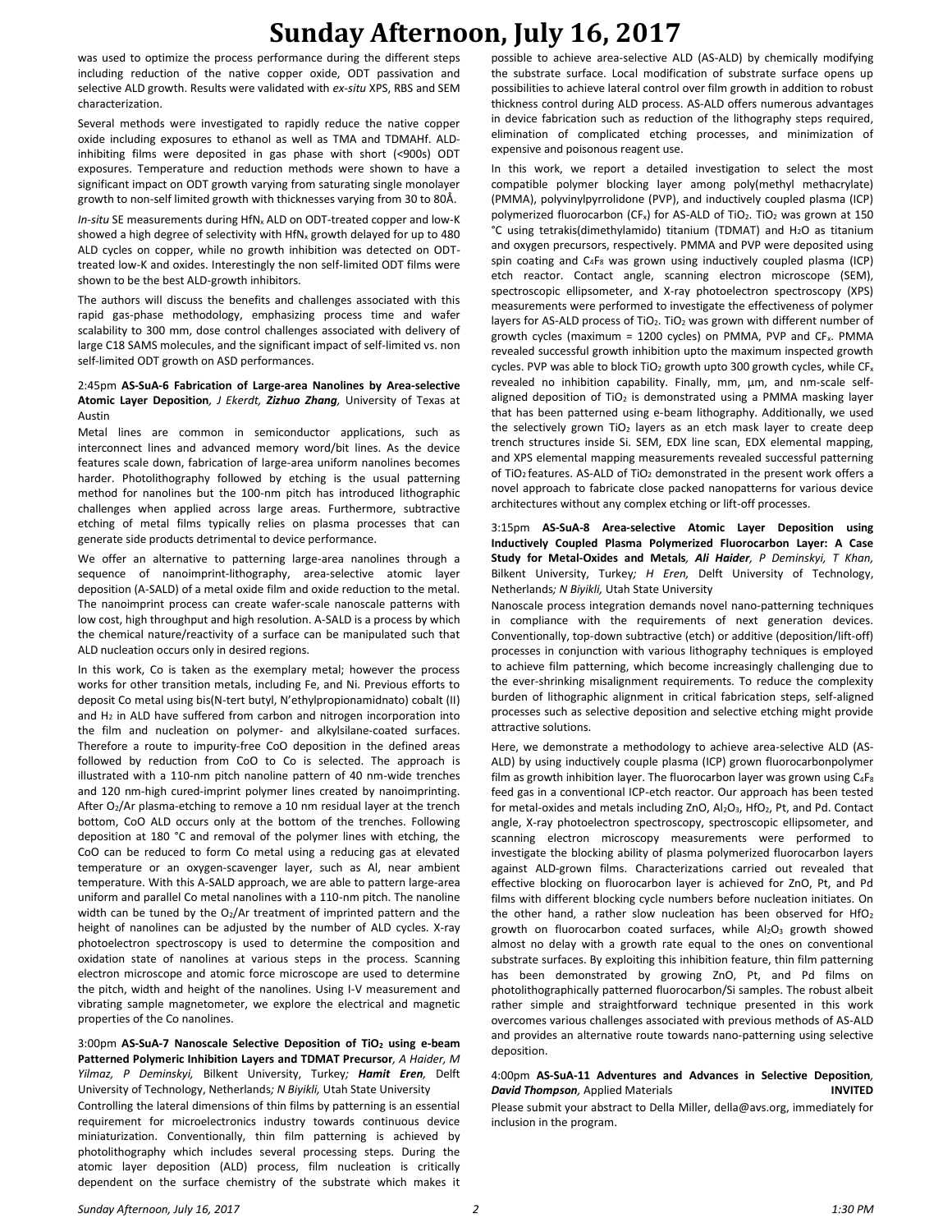was used to optimize the process performance during the different steps including reduction of the native copper oxide, ODT passivation and selective ALD growth. Results were validated with *ex-situ* XPS, RBS and SEM characterization.

Several methods were investigated to rapidly reduce the native copper oxide including exposures to ethanol as well as TMA and TDMAHf. ALDinhibiting films were deposited in gas phase with short (<900s) ODT exposures. Temperature and reduction methods were shown to have a significant impact on ODT growth varying from saturating single monolayer growth to non-self limited growth with thicknesses varying from 30 to 80Å.

*In-situ* SE measurements during HfN<sub>x</sub> ALD on ODT-treated copper and low-K showed a high degree of selectivity with  $HfN<sub>x</sub>$  growth delayed for up to 480 ALD cycles on copper, while no growth inhibition was detected on ODTtreated low-K and oxides. Interestingly the non self-limited ODT films were shown to be the best ALD-growth inhibitors.

The authors will discuss the benefits and challenges associated with this rapid gas-phase methodology, emphasizing process time and wafer scalability to 300 mm, dose control challenges associated with delivery of large C18 SAMS molecules, and the significant impact of self-limited vs. non self-limited ODT growth on ASD performances.

#### 2:45pm **AS-SuA-6 Fabrication of Large-area Nanolines by Area-selective Atomic Layer Deposition***, J Ekerdt, Zizhuo Zhang,* University of Texas at Austin

Metal lines are common in semiconductor applications, such as interconnect lines and advanced memory word/bit lines. As the device features scale down, fabrication of large-area uniform nanolines becomes harder. Photolithography followed by etching is the usual patterning method for nanolines but the 100-nm pitch has introduced lithographic challenges when applied across large areas. Furthermore, subtractive etching of metal films typically relies on plasma processes that can generate side products detrimental to device performance.

We offer an alternative to patterning large-area nanolines through a sequence of nanoimprint-lithography, area-selective atomic layer deposition (A-SALD) of a metal oxide film and oxide reduction to the metal. The nanoimprint process can create wafer-scale nanoscale patterns with low cost, high throughput and high resolution. A-SALD is a process by which the chemical nature/reactivity of a surface can be manipulated such that ALD nucleation occurs only in desired regions.

In this work, Co is taken as the exemplary metal; however the process works for other transition metals, including Fe, and Ni. Previous efforts to deposit Co metal using bis(N-tert butyl, N'ethylpropionamidnato) cobalt (II) and  $H_2$  in ALD have suffered from carbon and nitrogen incorporation into the film and nucleation on polymer- and alkylsilane-coated surfaces. Therefore a route to impurity-free CoO deposition in the defined areas followed by reduction from CoO to Co is selected. The approach is illustrated with a 110-nm pitch nanoline pattern of 40 nm-wide trenches and 120 nm-high cured-imprint polymer lines created by nanoimprinting. After O2/Ar plasma-etching to remove a 10 nm residual layer at the trench bottom, CoO ALD occurs only at the bottom of the trenches. Following deposition at 180 °C and removal of the polymer lines with etching, the CoO can be reduced to form Co metal using a reducing gas at elevated temperature or an oxygen-scavenger layer, such as Al, near ambient temperature. With this A-SALD approach, we are able to pattern large-area uniform and parallel Co metal nanolines with a 110-nm pitch. The nanoline width can be tuned by the  $O<sub>2</sub>/Ar$  treatment of imprinted pattern and the height of nanolines can be adjusted by the number of ALD cycles. X-ray photoelectron spectroscopy is used to determine the composition and oxidation state of nanolines at various steps in the process. Scanning electron microscope and atomic force microscope are used to determine the pitch, width and height of the nanolines. Using I-V measurement and vibrating sample magnetometer, we explore the electrical and magnetic properties of the Co nanolines.

### 3:00pm **AS-SuA-7 Nanoscale Selective Deposition of TiO<sup>2</sup> using e-beam Patterned Polymeric Inhibition Layers and TDMAT Precursor***, A Haider, M Yilmaz, P Deminskyi,* Bilkent University, Turkey*; Hamit Eren,* Delft University of Technology, Netherlands*; N Biyikli,* Utah State University

Controlling the lateral dimensions of thin films by patterning is an essential requirement for microelectronics industry towards continuous device miniaturization. Conventionally, thin film patterning is achieved by photolithography which includes several processing steps. During the atomic layer deposition (ALD) process, film nucleation is critically dependent on the surface chemistry of the substrate which makes it

possible to achieve area-selective ALD (AS-ALD) by chemically modifying the substrate surface. Local modification of substrate surface opens up possibilities to achieve lateral control over film growth in addition to robust thickness control during ALD process. AS-ALD offers numerous advantages in device fabrication such as reduction of the lithography steps required, elimination of complicated etching processes, and minimization of expensive and poisonous reagent use.

In this work, we report a detailed investigation to select the most compatible polymer blocking layer among poly(methyl methacrylate) (PMMA), polyvinylpyrrolidone (PVP), and inductively coupled plasma (ICP) polymerized fluorocarbon (CF<sub>x</sub>) for AS-ALD of TiO<sub>2</sub>. TiO<sub>2</sub> was grown at 150 °C using tetrakis(dimethylamido) titanium (TDMAT) and H2O as titanium and oxygen precursors, respectively. PMMA and PVP were deposited using spin coating and  $C_4F_8$  was grown using inductively coupled plasma (ICP) etch reactor. Contact angle, scanning electron microscope (SEM), spectroscopic ellipsometer, and X-ray photoelectron spectroscopy (XPS) measurements were performed to investigate the effectiveness of polymer layers for AS-ALD process of  $TiO<sub>2</sub>$ . TiO<sub>2</sub> was grown with different number of growth cycles (maximum = 1200 cycles) on PMMA, PVP and  $CF_x$ . PMMA revealed successful growth inhibition upto the maximum inspected growth cycles. PVP was able to block TiO<sub>2</sub> growth upto 300 growth cycles, while CF<sub>x</sub> revealed no inhibition capability. Finally, mm, μm, and nm-scale selfaligned deposition of  $TiO<sub>2</sub>$  is demonstrated using a PMMA masking layer that has been patterned using e-beam lithography. Additionally, we used the selectively grown  $TiO<sub>2</sub>$  layers as an etch mask layer to create deep trench structures inside Si. SEM, EDX line scan, EDX elemental mapping, and XPS elemental mapping measurements revealed successful patterning of TiO<sub>2</sub> features. AS-ALD of TiO<sub>2</sub> demonstrated in the present work offers a novel approach to fabricate close packed nanopatterns for various device architectures without any complex etching or lift-off processes.

#### 3:15pm **AS-SuA-8 Area-selective Atomic Layer Deposition using Inductively Coupled Plasma Polymerized Fluorocarbon Layer: A Case Study for Metal-Oxides and Metals***, Ali Haider, P Deminskyi, T Khan,*  Bilkent University, Turkey*; H Eren,* Delft University of Technology, Netherlands*; N Biyikli,* Utah State University

Nanoscale process integration demands novel nano-patterning techniques in compliance with the requirements of next generation devices. Conventionally, top-down subtractive (etch) or additive (deposition/lift-off) processes in conjunction with various lithography techniques is employed to achieve film patterning, which become increasingly challenging due to the ever-shrinking misalignment requirements. To reduce the complexity burden of lithographic alignment in critical fabrication steps, self-aligned processes such as selective deposition and selective etching might provide attractive solutions.

Here, we demonstrate a methodology to achieve area-selective ALD (AS-ALD) by using inductively couple plasma (ICP) grown fluorocarbonpolymer film as growth inhibition layer. The fluorocarbon layer was grown using C<sub>4</sub>F<sub>8</sub> feed gas in a conventional ICP-etch reactor. Our approach has been tested for metal-oxides and metals including ZnO, Al<sub>2</sub>O<sub>3</sub>, HfO<sub>2</sub>, Pt, and Pd. Contact angle, X-ray photoelectron spectroscopy, spectroscopic ellipsometer, and scanning electron microscopy measurements were performed to investigate the blocking ability of plasma polymerized fluorocarbon layers against ALD-grown films. Characterizations carried out revealed that effective blocking on fluorocarbon layer is achieved for ZnO, Pt, and Pd films with different blocking cycle numbers before nucleation initiates. On the other hand, a rather slow nucleation has been observed for HfO<sub>2</sub> growth on fluorocarbon coated surfaces, while Al2O3 growth showed almost no delay with a growth rate equal to the ones on conventional substrate surfaces. By exploiting this inhibition feature, thin film patterning has been demonstrated by growing ZnO, Pt, and Pd films on photolithographically patterned fluorocarbon/Si samples. The robust albeit rather simple and straightforward technique presented in this work overcomes various challenges associated with previous methods of AS-ALD and provides an alternative route towards nano-patterning using selective deposition.

#### 4:00pm **AS-SuA-11 Adventures and Advances in Selective Deposition***, David Thompson,* Applied Materials **INVITED**

Please submit your abstract to Della Miller, della@avs.org, immediately for inclusion in the program.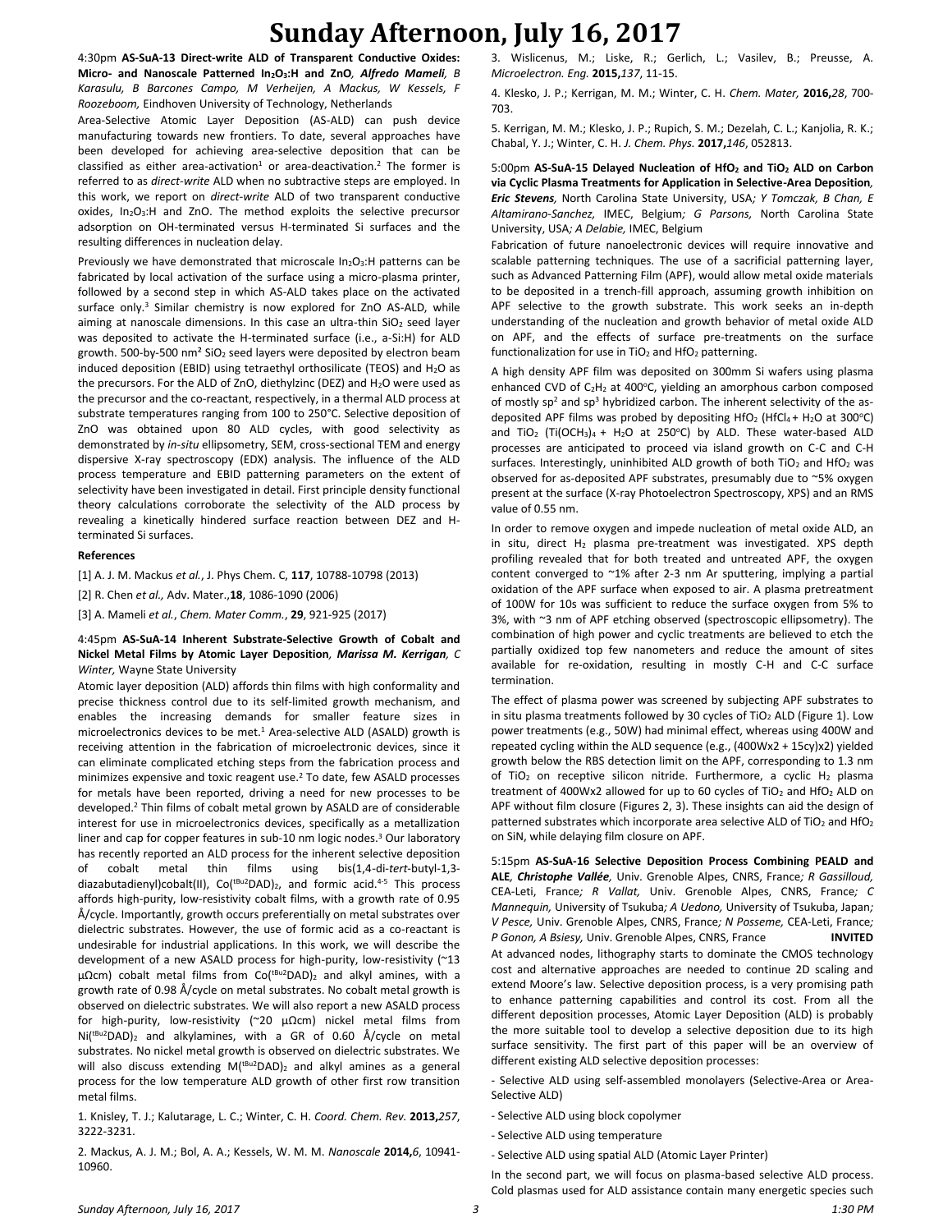4:30pm **AS-SuA-13 Direct-write ALD of Transparent Conductive Oxides: Micro- and Nanoscale Patterned In2O3:H and ZnO***, Alfredo Mameli, B Karasulu, B Barcones Campo, M Verheijen, A Mackus, W Kessels, F Roozeboom,* Eindhoven University of Technology, Netherlands

Area-Selective Atomic Layer Deposition (AS-ALD) can push device manufacturing towards new frontiers. To date, several approaches have been developed for achieving area-selective deposition that can be classified as either area-activation<sup>1</sup> or area-deactivation.<sup>2</sup> The former is referred to as *direct-write* ALD when no subtractive steps are employed. In this work, we report on *direct-write* ALD of two transparent conductive oxides, In<sub>2</sub>O<sub>3</sub>:H and ZnO. The method exploits the selective precursor adsorption on OH-terminated versus H-terminated Si surfaces and the resulting differences in nucleation delay.

Previously we have demonstrated that microscale  $In_2O_3$ : H patterns can be fabricated by local activation of the surface using a micro-plasma printer, followed by a second step in which AS-ALD takes place on the activated surface only.<sup>3</sup> Similar chemistry is now explored for ZnO AS-ALD, while aiming at nanoscale dimensions. In this case an ultra-thin  $SiO<sub>2</sub>$  seed layer was deposited to activate the H-terminated surface (i.e., a-Si:H) for ALD growth. 500-by-500 nm<sup>2</sup> SiO<sub>2</sub> seed layers were deposited by electron beam induced deposition (EBID) using tetraethyl orthosilicate (TEOS) and  $H_2O$  as the precursors. For the ALD of ZnO, diethylzinc (DEZ) and  $H_2O$  were used as the precursor and the co-reactant, respectively, in a thermal ALD process at substrate temperatures ranging from 100 to 250°C. Selective deposition of ZnO was obtained upon 80 ALD cycles, with good selectivity as demonstrated by *in-situ* ellipsometry, SEM, cross-sectional TEM and energy dispersive X-ray spectroscopy (EDX) analysis. The influence of the ALD process temperature and EBID patterning parameters on the extent of selectivity have been investigated in detail. First principle density functional theory calculations corroborate the selectivity of the ALD process by revealing a kinetically hindered surface reaction between DEZ and Hterminated Si surfaces.

#### **References**

[1] A. J. M. Mackus *et al.*, J. Phys Chem. C, **117**, 10788-10798 (2013)

[2] R. Chen *et al.,* Adv. Mater.,**18**, 1086-1090 (2006)

[3] A. Mameli *et al.*, *Chem. Mater Comm.*, **29**, 921-925 (2017)

#### 4:45pm **AS-SuA-14 Inherent Substrate-Selective Growth of Cobalt and Nickel Metal Films by Atomic Layer Deposition***, Marissa M. Kerrigan, C Winter,* Wayne State University

Atomic layer deposition (ALD) affords thin films with high conformality and precise thickness control due to its self-limited growth mechanism, and enables the increasing demands for smaller feature sizes in microelectronics devices to be met.<sup>1</sup> Area-selective ALD (ASALD) growth is receiving attention in the fabrication of microelectronic devices, since it can eliminate complicated etching steps from the fabrication process and minimizes expensive and toxic reagent use.<sup>2</sup> To date, few ASALD processes for metals have been reported, driving a need for new processes to be developed.<sup>2</sup> Thin films of cobalt metal grown by ASALD are of considerable interest for use in microelectronics devices, specifically as a metallization liner and cap for copper features in sub-10 nm logic nodes.<sup>3</sup> Our laboratory has recently reported an ALD process for the inherent selective deposition of cobalt metal thin films using bis(1,4-di-*tert*-butyl-1,3 diazabutadienyl)cobalt(II), Co(tBu2DAD)2, and formic acid.4-5 This process affords high-purity, low-resistivity cobalt films, with a growth rate of 0.95 Å/cycle. Importantly, growth occurs preferentially on metal substrates over dielectric substrates. However, the use of formic acid as a co-reactant is undesirable for industrial applications. In this work, we will describe the development of a new ASALD process for high-purity, low-resistivity (~13 µΩcm) cobalt metal films from Co(<sup>tBu2</sup>DAD)<sub>2</sub> and alkyl amines, with a growth rate of 0.98 Å/cycle on metal substrates. No cobalt metal growth is observed on dielectric substrates. We will also report a new ASALD process for high-purity, low-resistivity (~20 µΩcm) nickel metal films from  $Ni(^{tBu2}DAD)_2$  and alkylamines, with a GR of 0.60 Å/cycle on metal substrates. No nickel metal growth is observed on dielectric substrates. We will also discuss extending M(<sup>tBu2</sup>DAD)<sub>2</sub> and alkyl amines as a general process for the low temperature ALD growth of other first row transition metal films.

1. Knisley, T. J.; Kalutarage, L. C.; Winter, C. H. *Coord. Chem. Rev.* **2013,***257*, 3222-3231.

2. Mackus, A. J. M.; Bol, A. A.; Kessels, W. M. M. *Nanoscale* **2014,***6*, 10941- 10960.

3. Wislicenus, M.; Liske, R.; Gerlich, L.; Vasilev, B.; Preusse, A. *Microelectron. Eng.* **2015,***137*, 11-15.

4. Klesko, J. P.; Kerrigan, M. M.; Winter, C. H. *Chem. Mater,* **2016,***28*, 700- 703.

5. Kerrigan, M. M.; Klesko, J. P.; Rupich, S. M.; Dezelah, C. L.; Kanjolia, R. K.; Chabal, Y. J.; Winter, C. H. *J. Chem. Phys.* **2017,***146*, 052813.

#### 5:00pm **AS-SuA-15 Delayed Nucleation of HfO<sup>2</sup> and TiO<sup>2</sup> ALD on Carbon via Cyclic Plasma Treatments for Application in Selective-Area Deposition***, Eric Stevens,* North Carolina State University, USA*; Y Tomczak, B Chan, E Altamirano-Sanchez,* IMEC, Belgium*; G Parsons,* North Carolina State University, USA*; A Delabie,* IMEC, Belgium

Fabrication of future nanoelectronic devices will require innovative and scalable patterning techniques. The use of a sacrificial patterning layer, such as Advanced Patterning Film (APF), would allow metal oxide materials to be deposited in a trench-fill approach, assuming growth inhibition on APF selective to the growth substrate. This work seeks an in-depth understanding of the nucleation and growth behavior of metal oxide ALD on APF, and the effects of surface pre-treatments on the surface functionalization for use in  $TiO<sub>2</sub>$  and  $HfO<sub>2</sub>$  patterning.

A high density APF film was deposited on 300mm Si wafers using plasma enhanced CVD of  $C_2H_2$  at 400°C, yielding an amorphous carbon composed of mostly  $sp^2$  and  $sp^3$  hybridized carbon. The inherent selectivity of the asdeposited APF films was probed by depositing HfO<sub>2</sub> (HfCl<sub>4</sub> + H<sub>2</sub>O at 300°C) and TiO<sub>2</sub> (Ti(OCH<sub>3</sub>)<sub>4</sub> + H<sub>2</sub>O at 250°C) by ALD. These water-based ALD processes are anticipated to proceed via island growth on C-C and C-H surfaces. Interestingly, uninhibited ALD growth of both TiO<sub>2</sub> and HfO<sub>2</sub> was observed for as-deposited APF substrates, presumably due to ~5% oxygen present at the surface (X-ray Photoelectron Spectroscopy, XPS) and an RMS value of 0.55 nm.

In order to remove oxygen and impede nucleation of metal oxide ALD, an in situ, direct  $H_2$  plasma pre-treatment was investigated. XPS depth profiling revealed that for both treated and untreated APF, the oxygen content converged to ~1% after 2-3 nm Ar sputtering, implying a partial oxidation of the APF surface when exposed to air. A plasma pretreatment of 100W for 10s was sufficient to reduce the surface oxygen from 5% to 3%, with ~3 nm of APF etching observed (spectroscopic ellipsometry). The combination of high power and cyclic treatments are believed to etch the partially oxidized top few nanometers and reduce the amount of sites available for re-oxidation, resulting in mostly C-H and C-C surface termination.

The effect of plasma power was screened by subjecting APF substrates to in situ plasma treatments followed by 30 cycles of TiO<sub>2</sub> ALD (Figure 1). Low power treatments (e.g., 50W) had minimal effect, whereas using 400W and repeated cycling within the ALD sequence (e.g., (400Wx2 + 15cy)x2) yielded growth below the RBS detection limit on the APF, corresponding to 1.3 nm of TiO<sub>2</sub> on receptive silicon nitride. Furthermore, a cyclic H<sub>2</sub> plasma treatment of 400Wx2 allowed for up to 60 cycles of TiO<sub>2</sub> and HfO<sub>2</sub> ALD on APF without film closure (Figures 2, 3). These insights can aid the design of patterned substrates which incorporate area selective ALD of TiO<sub>2</sub> and HfO<sub>2</sub> on SiN, while delaying film closure on APF.

5:15pm **AS-SuA-16 Selective Deposition Process Combining PEALD and ALE***, Christophe Vallée,* Univ. Grenoble Alpes, CNRS, France*; R Gassilloud,*  CEA-Leti, France*; R Vallat,* Univ. Grenoble Alpes, CNRS, France*; C Mannequin,* University of Tsukuba*; A Uedono,* University of Tsukuba, Japan*; V Pesce,* Univ. Grenoble Alpes, CNRS, France*; N Posseme,* CEA-Leti, France*; P Gonon, A Bsiesy,* Univ. Grenoble Alpes, CNRS, France **INVITED** At advanced nodes, lithography starts to dominate the CMOS technology cost and alternative approaches are needed to continue 2D scaling and extend Moore's law. Selective deposition process, is a very promising path to enhance patterning capabilities and control its cost. From all the different deposition processes, Atomic Layer Deposition (ALD) is probably the more suitable tool to develop a selective deposition due to its high surface sensitivity. The first part of this paper will be an overview of different existing ALD selective deposition processes:

- Selective ALD using self-assembled monolayers (Selective-Area or Area-Selective ALD)

- Selective ALD using block copolymer
- Selective ALD using temperature

- Selective ALD using spatial ALD (Atomic Layer Printer)

In the second part, we will focus on plasma-based selective ALD process. Cold plasmas used for ALD assistance contain many energetic species such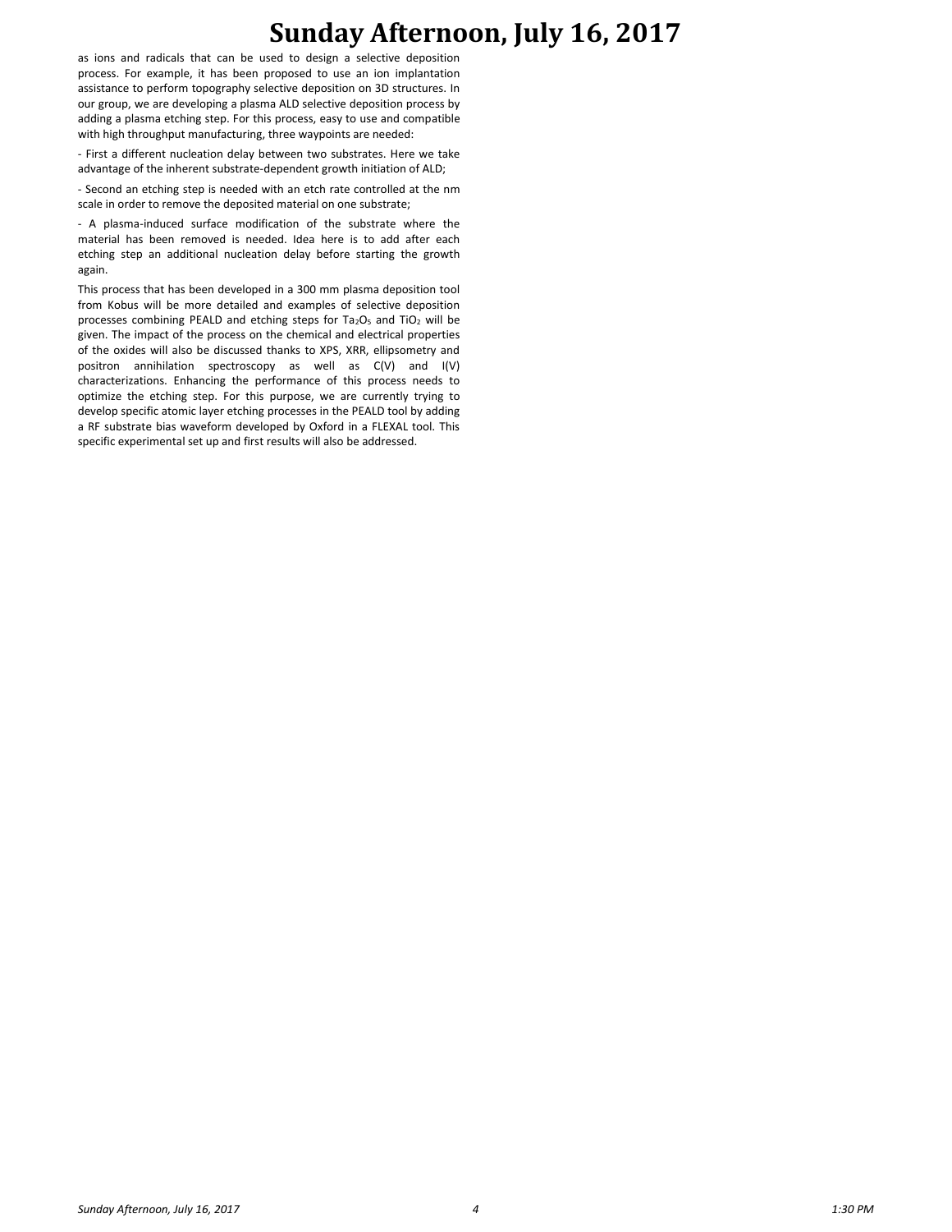as ions and radicals that can be used to design a selective deposition process. For example, it has been proposed to use an ion implantation assistance to perform topography selective deposition on 3D structures. In our group, we are developing a plasma ALD selective deposition process by adding a plasma etching step. For this process, easy to use and compatible with high throughput manufacturing, three waypoints are needed:

- First a different nucleation delay between two substrates. Here we take advantage of the inherent substrate-dependent growth initiation of ALD;

- Second an etching step is needed with an etch rate controlled at the nm scale in order to remove the deposited material on one substrate;

- A plasma-induced surface modification of the substrate where the material has been removed is needed. Idea here is to add after each etching step an additional nucleation delay before starting the growth again.

This process that has been developed in a 300 mm plasma deposition tool from Kobus will be more detailed and examples of selective deposition processes combining PEALD and etching steps for  $Ta_2O_5$  and  $TiO_2$  will be given. The impact of the process on the chemical and electrical properties of the oxides will also be discussed thanks to XPS, XRR, ellipsometry and positron annihilation spectroscopy as well as C(V) and I(V) characterizations. Enhancing the performance of this process needs to optimize the etching step. For this purpose, we are currently trying to develop specific atomic layer etching processes in the PEALD tool by adding a RF substrate bias waveform developed by Oxford in a FLEXAL tool. This specific experimental set up and first results will also be addressed.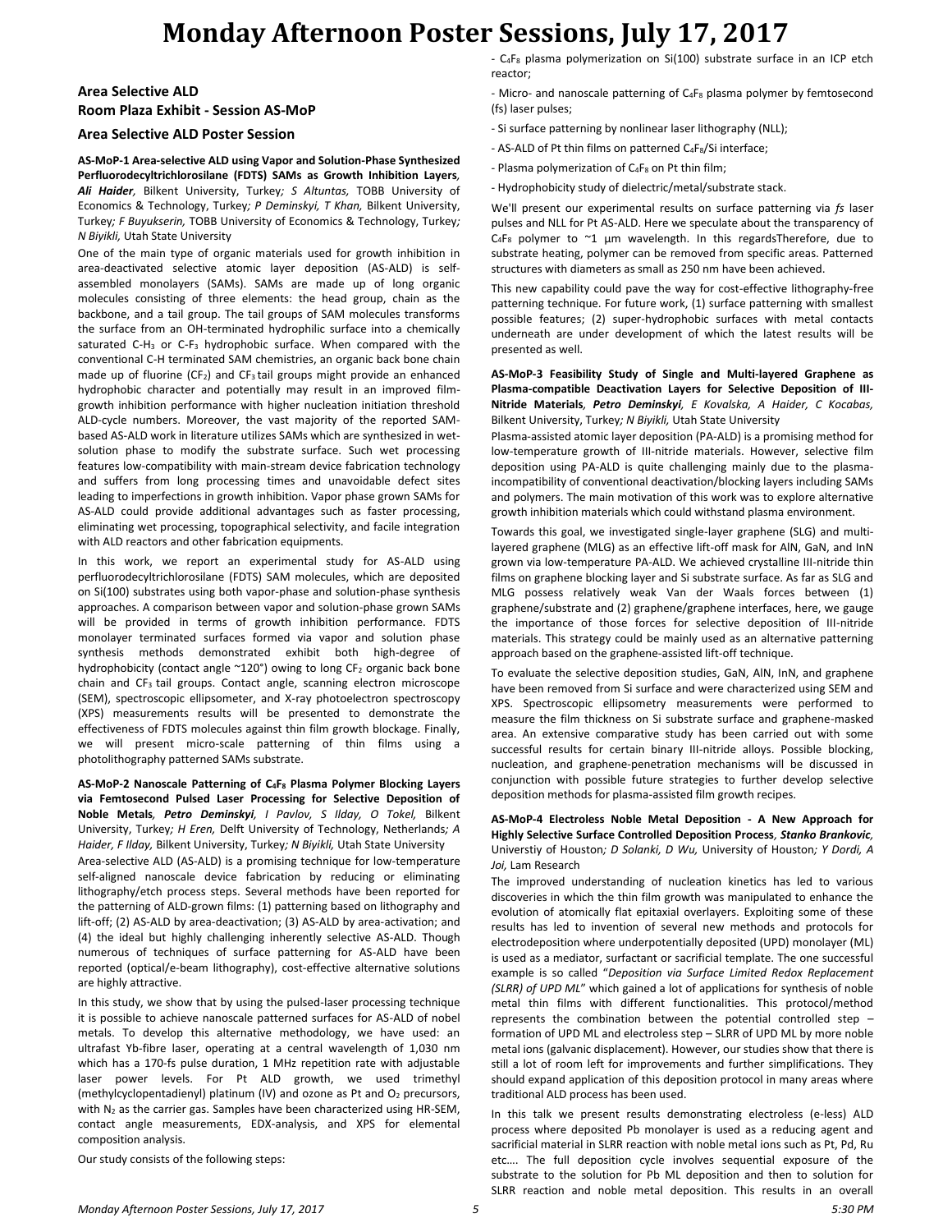# **Monday Afternoon Poster Sessions, July 17, 2017**

## **Area Selective ALD Room Plaza Exhibit - Session AS-MoP**

### **Area Selective ALD Poster Session**

**AS-MoP-1 Area-selective ALD using Vapor and Solution-Phase Synthesized Perfluorodecyltrichlorosilane (FDTS) SAMs as Growth Inhibition Layers***, Ali Haider,* Bilkent University, Turkey*; S Altuntas,* TOBB University of Economics & Technology, Turkey*; P Deminskyi, T Khan,* Bilkent University, Turkey*; F Buyukserin,* TOBB University of Economics & Technology, Turkey*; N Biyikli,* Utah State University

One of the main type of organic materials used for growth inhibition in area-deactivated selective atomic layer deposition (AS-ALD) is selfassembled monolayers (SAMs). SAMs are made up of long organic molecules consisting of three elements: the head group, chain as the backbone, and a tail group. The tail groups of SAM molecules transforms the surface from an OH-terminated hydrophilic surface into a chemically saturated C-H<sup>3</sup> or C-F<sup>3</sup> hydrophobic surface. When compared with the conventional C-H terminated SAM chemistries, an organic back bone chain made up of fluorine (CF<sub>2</sub>) and CF<sub>3</sub> tail groups might provide an enhanced hydrophobic character and potentially may result in an improved filmgrowth inhibition performance with higher nucleation initiation threshold ALD-cycle numbers. Moreover, the vast majority of the reported SAMbased AS-ALD work in literature utilizes SAMs which are synthesized in wetsolution phase to modify the substrate surface. Such wet processing features low-compatibility with main-stream device fabrication technology and suffers from long processing times and unavoidable defect sites leading to imperfections in growth inhibition. Vapor phase grown SAMs for AS-ALD could provide additional advantages such as faster processing, eliminating wet processing, topographical selectivity, and facile integration with ALD reactors and other fabrication equipments.

In this work, we report an experimental study for AS-ALD using perfluorodecyltrichlorosilane (FDTS) SAM molecules, which are deposited on Si(100) substrates using both vapor-phase and solution-phase synthesis approaches. A comparison between vapor and solution-phase grown SAMs will be provided in terms of growth inhibition performance. FDTS monolayer terminated surfaces formed via vapor and solution phase synthesis methods demonstrated exhibit both high-degree of hydrophobicity (contact angle ~120°) owing to long CF<sub>2</sub> organic back bone chain and CF<sub>3</sub> tail groups. Contact angle, scanning electron microscope (SEM), spectroscopic ellipsometer, and X-ray photoelectron spectroscopy (XPS) measurements results will be presented to demonstrate the effectiveness of FDTS molecules against thin film growth blockage. Finally, we will present micro-scale patterning of thin films using a photolithography patterned SAMs substrate.

### **AS-MoP-2 Nanoscale Patterning of C4F<sup>8</sup> Plasma Polymer Blocking Layers via Femtosecond Pulsed Laser Processing for Selective Deposition of Noble Metals***, Petro Deminskyi, I Pavlov, S Ilday, O Tokel,* Bilkent University, Turkey*; H Eren,* Delft University of Technology, Netherlands*; A Haider, F Ilday,* Bilkent University, Turkey*; N Biyikli,* Utah State University

Area-selective ALD (AS-ALD) is a promising technique for low-temperature self-aligned nanoscale device fabrication by reducing or eliminating lithography/etch process steps. Several methods have been reported for the patterning of ALD-grown films: (1) patterning based on lithography and lift-off; (2) AS-ALD by area-deactivation; (3) AS-ALD by area-activation; and (4) the ideal but highly challenging inherently selective AS-ALD. Though numerous of techniques of surface patterning for AS-ALD have been reported (optical/e-beam lithography), cost-effective alternative solutions are highly attractive.

In this study, we show that by using the pulsed-laser processing technique it is possible to achieve nanoscale patterned surfaces for AS-ALD of nobel metals. To develop this alternative methodology, we have used: an ultrafast Yb-fibre laser, operating at a central wavelength of 1,030 nm which has a 170-fs pulse duration, 1 MHz repetition rate with adjustable laser power levels. For Pt ALD growth, we used trimethyl (methylcyclopentadienyl) platinum (IV) and ozone as Pt and O<sup>2</sup> precursors, with N<sub>2</sub> as the carrier gas. Samples have been characterized using HR-SEM, contact angle measurements, EDX-analysis, and XPS for elemental composition analysis.

Our study consists of the following steps:

- C<sub>4</sub>F<sub>8</sub> plasma polymerization on Si(100) substrate surface in an ICP etch reactor;

- Micro- and nanoscale patterning of C<sub>4F8</sub> plasma polymer by femtosecond (fs) laser pulses;

- Si surface patterning by nonlinear laser lithography (NLL);
- AS-ALD of Pt thin films on patterned C<sub>4</sub>F<sub>8</sub>/Si interface;
- Plasma polymerization of  $C_4F_8$  on Pt thin film;
- Hydrophobicity study of dielectric/metal/substrate stack.

We'll present our experimental results on surface patterning via *fs* laser pulses and NLL for Pt AS-ALD. Here we speculate about the transparency of  $C_4F_8$  polymer to  $\sim$ 1 µm wavelength. In this regardsTherefore, due to substrate heating, polymer can be removed from specific areas. Patterned structures with diameters as small as 250 nm have been achieved.

This new capability could pave the way for cost-effective lithography-free patterning technique. For future work, (1) surface patterning with smallest possible features; (2) super-hydrophobic surfaces with metal contacts underneath are under development of which the latest results will be presented as well.

**AS-MoP-3 Feasibility Study of Single and Multi-layered Graphene as Plasma-compatible Deactivation Layers for Selective Deposition of III-Nitride Materials***, Petro Deminskyi, E Kovalska, A Haider, C Kocabas,*  Bilkent University, Turkey*; N Biyikli,* Utah State University

Plasma-assisted atomic layer deposition (PA-ALD) is a promising method for low-temperature growth of III-nitride materials. However, selective film deposition using PA-ALD is quite challenging mainly due to the plasmaincompatibility of conventional deactivation/blocking layers including SAMs and polymers. The main motivation of this work was to explore alternative growth inhibition materials which could withstand plasma environment.

Towards this goal, we investigated single-layer graphene (SLG) and multilayered graphene (MLG) as an effective lift-off mask for AlN, GaN, and InN grown via low-temperature PA-ALD. We achieved crystalline III-nitride thin films on graphene blocking layer and Si substrate surface. As far as SLG and MLG possess relatively weak Van der Waals forces between (1) graphene/substrate and (2) graphene/graphene interfaces, here, we gauge the importance of those forces for selective deposition of III-nitride materials. This strategy could be mainly used as an alternative patterning approach based on the graphene-assisted lift-off technique.

To evaluate the selective deposition studies, GaN, AlN, InN, and graphene have been removed from Si surface and were characterized using SEM and XPS. Spectroscopic ellipsometry measurements were performed to measure the film thickness on Si substrate surface and graphene-masked area. An extensive comparative study has been carried out with some successful results for certain binary III-nitride alloys. Possible blocking, nucleation, and graphene-penetration mechanisms will be discussed in conjunction with possible future strategies to further develop selective deposition methods for plasma-assisted film growth recipes.

**AS-MoP-4 Electroless Noble Metal Deposition - A New Approach for Highly Selective Surface Controlled Deposition Process***, Stanko Brankovic,*  Universtiy of Houston*; D Solanki, D Wu,* University of Houston*; Y Dordi, A Joi,* Lam Research

The improved understanding of nucleation kinetics has led to various discoveries in which the thin film growth was manipulated to enhance the evolution of atomically flat epitaxial overlayers. Exploiting some of these results has led to invention of several new methods and protocols for electrodeposition where underpotentially deposited (UPD) monolayer (ML) is used as a mediator, surfactant or sacrificial template. The one successful example is so called "*Deposition via Surface Limited Redox Replacement (SLRR) of UPD ML*" which gained a lot of applications for synthesis of noble metal thin films with different functionalities. This protocol/method represents the combination between the potential controlled step – formation of UPD ML and electroless step – SLRR of UPD ML by more noble metal ions (galvanic displacement). However, our studies show that there is still a lot of room left for improvements and further simplifications. They should expand application of this deposition protocol in many areas where traditional ALD process has been used.

In this talk we present results demonstrating electroless (e-less) ALD process where deposited Pb monolayer is used as a reducing agent and sacrificial material in SLRR reaction with noble metal ions such as Pt, Pd, Ru etc…. The full deposition cycle involves sequential exposure of the substrate to the solution for Pb ML deposition and then to solution for SLRR reaction and noble metal deposition. This results in an overall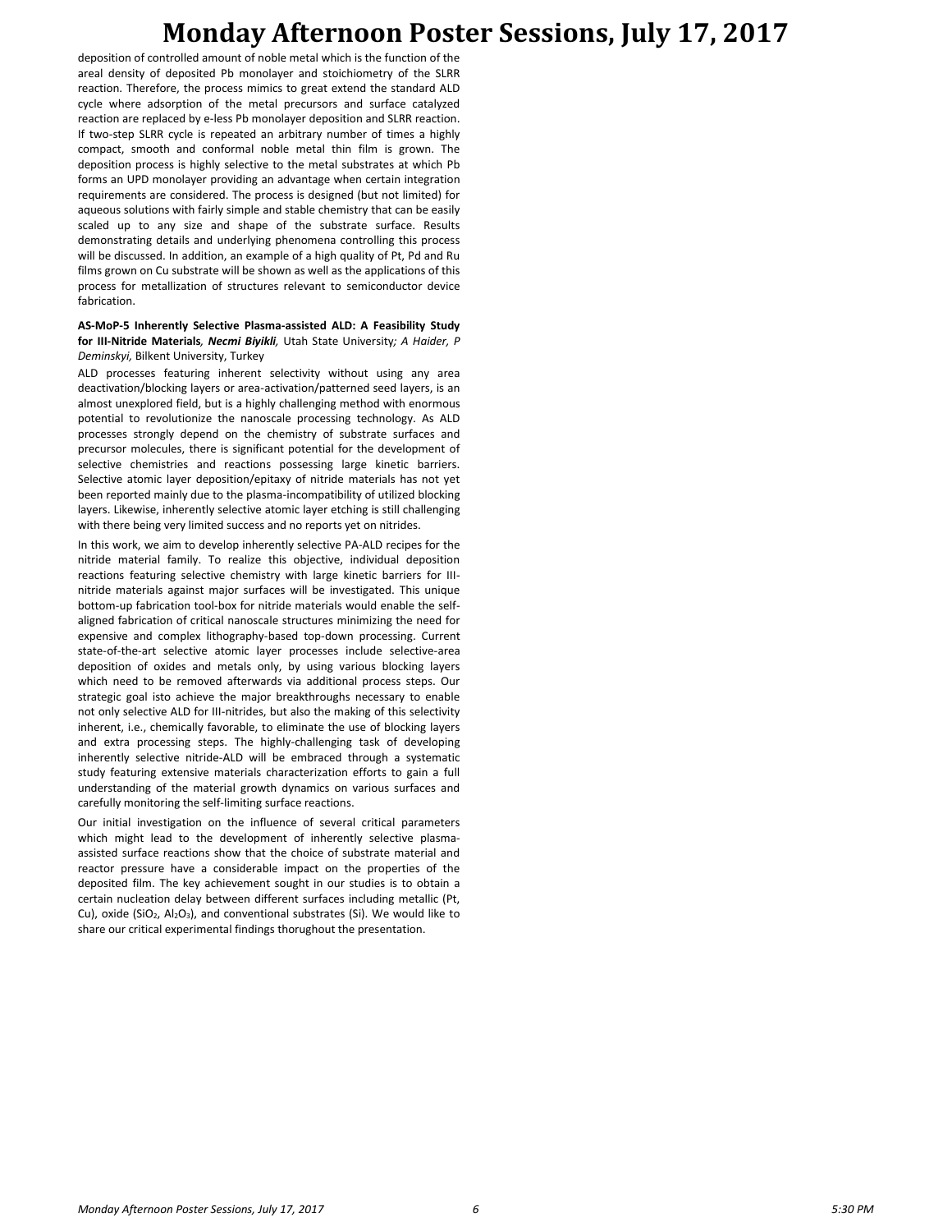# **Monday Afternoon Poster Sessions, July 17, 2017**

deposition of controlled amount of noble metal which is the function of the areal density of deposited Pb monolayer and stoichiometry of the SLRR reaction. Therefore, the process mimics to great extend the standard ALD cycle where adsorption of the metal precursors and surface catalyzed reaction are replaced by e-less Pb monolayer deposition and SLRR reaction. If two-step SLRR cycle is repeated an arbitrary number of times a highly compact, smooth and conformal noble metal thin film is grown. The deposition process is highly selective to the metal substrates at which Pb forms an UPD monolayer providing an advantage when certain integration requirements are considered. The process is designed (but not limited) for aqueous solutions with fairly simple and stable chemistry that can be easily scaled up to any size and shape of the substrate surface. Results demonstrating details and underlying phenomena controlling this process will be discussed. In addition, an example of a high quality of Pt, Pd and Ru films grown on Cu substrate will be shown as well as the applications of this process for metallization of structures relevant to semiconductor device fabrication.

#### **AS-MoP-5 Inherently Selective Plasma-assisted ALD: A Feasibility Study for III-Nitride Materials***, Necmi Biyikli,* Utah State University*; A Haider, P Deminskyi,* Bilkent University, Turkey

ALD processes featuring inherent selectivity without using any area deactivation/blocking layers or area-activation/patterned seed layers, is an almost unexplored field, but is a highly challenging method with enormous potential to revolutionize the nanoscale processing technology. As ALD processes strongly depend on the chemistry of substrate surfaces and precursor molecules, there is significant potential for the development of selective chemistries and reactions possessing large kinetic barriers. Selective atomic layer deposition/epitaxy of nitride materials has not yet been reported mainly due to the plasma-incompatibility of utilized blocking layers. Likewise, inherently selective atomic layer etching is still challenging with there being very limited success and no reports yet on nitrides.

In this work, we aim to develop inherently selective PA-ALD recipes for the nitride material family. To realize this objective, individual deposition reactions featuring selective chemistry with large kinetic barriers for IIInitride materials against major surfaces will be investigated. This unique bottom-up fabrication tool-box for nitride materials would enable the selfaligned fabrication of critical nanoscale structures minimizing the need for expensive and complex lithography-based top-down processing. Current state-of-the-art selective atomic layer processes include selective-area deposition of oxides and metals only, by using various blocking layers which need to be removed afterwards via additional process steps. Our strategic goal isto achieve the major breakthroughs necessary to enable not only selective ALD for III-nitrides, but also the making of this selectivity inherent, i.e., chemically favorable, to eliminate the use of blocking layers and extra processing steps. The highly-challenging task of developing inherently selective nitride-ALD will be embraced through a systematic study featuring extensive materials characterization efforts to gain a full understanding of the material growth dynamics on various surfaces and carefully monitoring the self-limiting surface reactions.

Our initial investigation on the influence of several critical parameters which might lead to the development of inherently selective plasmaassisted surface reactions show that the choice of substrate material and reactor pressure have a considerable impact on the properties of the deposited film. The key achievement sought in our studies is to obtain a certain nucleation delay between different surfaces including metallic (Pt, Cu), oxide (SiO<sub>2</sub>, Al<sub>2</sub>O<sub>3</sub>), and conventional substrates (Si). We would like to share our critical experimental findings thorughout the presentation.